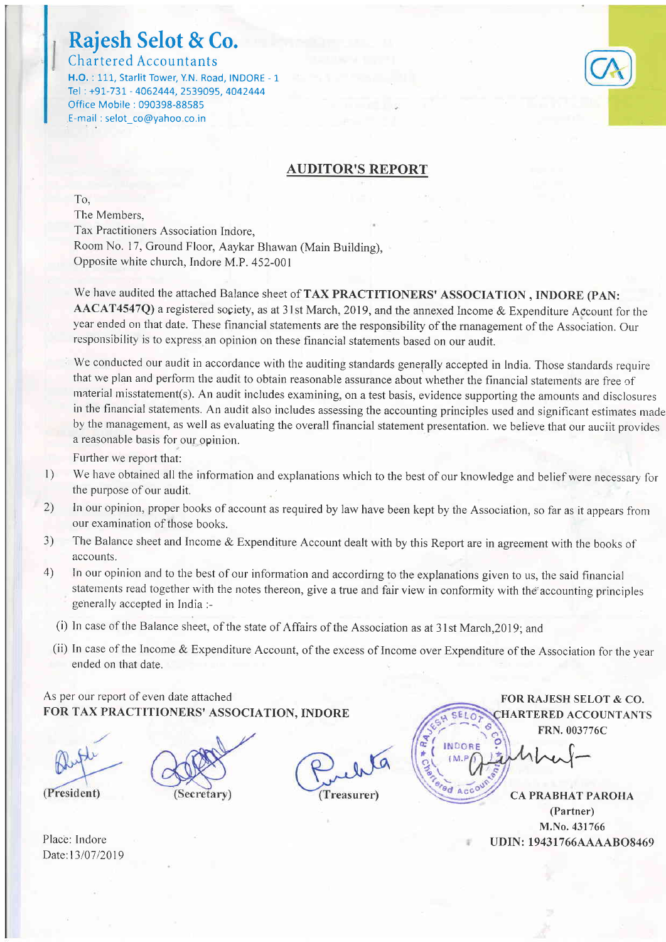# Rajesh Selot & Co.

Chartered Accountants H.O. : 111, Starlit Tower, Y.N. Road, INDORE - 1 Tel: +91-731 - 4062444, 2539095, 4042444 Office Mobile : 090398-88585 E-mail : selot\_co@yahoo co.in

### AUDITOR'S REPORT

To, The Members, Tax Practitioners Association Indore. Room No. 17, Ground Floor, Aaykar Bhawan (Main Building), Opposite white church, Indore M.P. 452-001

We have audited the attached Balance sheet of TAX PRACTITIONERS' ASSOCIATION , INDORE (PAN AACAT4547Q) a registered sopiety, as at 3l st March, 2019, and the annexed Income & Expenditure Account for the year ended on that date. These financial statements are the responsibility of the rnanagement of the Association. Our responsibility is to express an opinion on these financial statements based on our audit.

We conducted our audit in accordance with the auditing standards generally accepted in India. Those standards require that we plan and perform the audit to obtain reasonable assurance about whether the financial statements are free of material misstatement(s). An audit includes examining, on a test basis, evidence supporting the amounts and disclosures in the financial statements. An audit also includes assessing the accounting principles used and significant estimates made by the management, as well as evaluating the overall financial statement presentation. we believe that our auciit provides a reasonable basis for our opinion.

Further we report that:

- We have obtained all the information and explanations which to the best of our knowledge and belief were necessary for the purpose of our audit.  $\vert$
- In our opinion, proper books of account as required by law have been kept by the Association, so far as it appears from our examination of those books.  $2)$
- The Balance sheet and Income & Expenditure Account dealt with by this Report are in agreement with the books of accounts.  $3)$
- In our opinion and to the best of our information and accordirng to the explanations given to us, the said financial statements read together with the notes thereon, give a true and fair view in conformity with the accounting principles geherally accepted in India :- 4)
	- (i) In case of the Balance sheet, of the state of Affairs of the Association as at 3 I st March.20l 9: and
	- (ii) In case of the Income & Expenditure Account, of the excess of Income over Expenditure of the Association for the year ended on that date.

### As per our report of even date attached FOR TAX PRACTITIONERS' ASSOCIATION. INDORE

(President)





FOR RAJESH SELOT & CO. HARTERED ACCOUNTANTS FRN.003776C

 $h$ u $\sim$ 

CA PRABHAT PAROHA (Partner) M.No. 431766 Place: Indore UDIN: 19431766AAAABO8469

Date:13/07/2019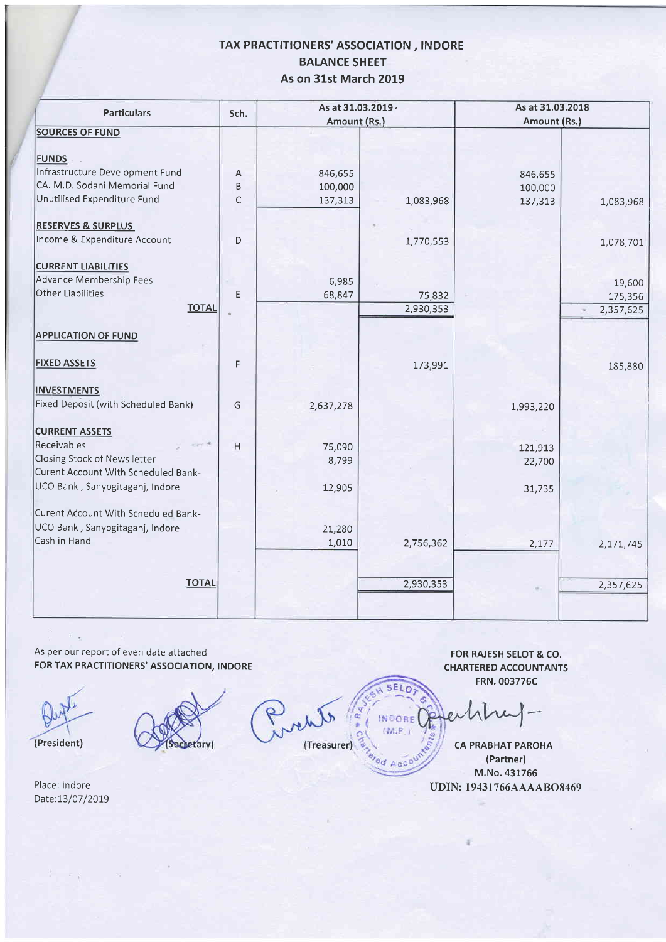### TAX PRACTITIONERS' ASSOCIATION, INDORE BALANCE SHEET As on 31st March 2019

| <b>Particulars</b>                                                  | As at 31.03.2019 ·<br>Sch. |              |           | As at 31.03.2018<br>Amount (Rs.) |           |
|---------------------------------------------------------------------|----------------------------|--------------|-----------|----------------------------------|-----------|
|                                                                     |                            | Amount (Rs.) |           |                                  |           |
| <b>SOURCES OF FUND</b>                                              |                            |              |           |                                  |           |
| FUNDS .                                                             |                            |              |           |                                  |           |
| Infrastructure Development Fund                                     | Α                          | 846,655      |           | 846,655                          |           |
| CA. M.D. Sodani Memorial Fund                                       | B                          | 100,000      |           | 100,000                          |           |
| Unutilised Expenditure Fund                                         | $\mathsf C$                | 137,313      | 1,083,968 | 137,313                          | 1,083,968 |
| <b>RESERVES &amp; SURPLUS</b>                                       |                            |              |           |                                  |           |
| Income & Expenditure Account                                        | D                          |              | 1,770,553 |                                  | 1,078,701 |
| <b>CURRENT LIABILITIES</b>                                          |                            |              |           |                                  |           |
| Advance Membership Fees                                             |                            | 6,985        |           |                                  | 19,600    |
| Other Liabilities                                                   | Ε                          | 68,847       | 75,832    |                                  | 175,356   |
| <b>TOTAL</b>                                                        |                            |              | 2,930,353 |                                  | 2,357,625 |
|                                                                     |                            |              |           |                                  |           |
| <b>APPLICATION OF FUND</b>                                          |                            |              |           |                                  |           |
| <b>FIXED ASSETS</b>                                                 | F                          |              | 173,991   |                                  | 185,880   |
| <b>INVESTMENTS</b>                                                  |                            |              |           |                                  |           |
| Fixed Deposit (with Scheduled Bank)                                 | G                          | 2,637,278    |           | 1,993,220                        |           |
| <b>CURRENT ASSETS</b>                                               |                            |              |           |                                  |           |
| Receivables                                                         | H                          | 75,090       |           | 121,913                          |           |
| Closing Stock of News letter<br>Curent Account With Scheduled Bank- |                            | 8,799        |           | 22,700                           |           |
| UCO Bank, Sanyogitaganj, Indore                                     |                            | 12,905       |           | 31,735                           |           |
| Curent Account With Scheduled Bank-                                 |                            |              |           |                                  |           |
| UCO Bank, Sanyogitaganj, Indore                                     |                            | 21,280       |           |                                  |           |
| Cash in Hand                                                        |                            | 1,010        | 2,756,362 | 2,177                            | 2,171,745 |
|                                                                     |                            |              |           |                                  |           |
| <b>TOTAL</b>                                                        |                            |              | 2,930,353 |                                  | 2,357,625 |
|                                                                     |                            |              |           |                                  |           |
|                                                                     |                            |              |           |                                  |           |

As per our report of even date attached FOR TAX PRACTITIONERS' ASSOCIATION, INDORE

 $\frac{c_2}{c_1} = -c_{-2}$ 

/

(President)

Place: Indore Date:l3/07/2QI9

 $\mathbb{R} \rightarrow \mathbb{R}$ 

arv)

٦p (Treasurer)

FOR RAJESH SELOT & CO. CHARTERED ACCOUNTANTS FRN.003776C

£

INDORE  $(M.P.)$ 

**Od Acco** 

CA PRABHAT PAROHA (Partner) M.No.431766 UDIN: 19431766AAAABO8469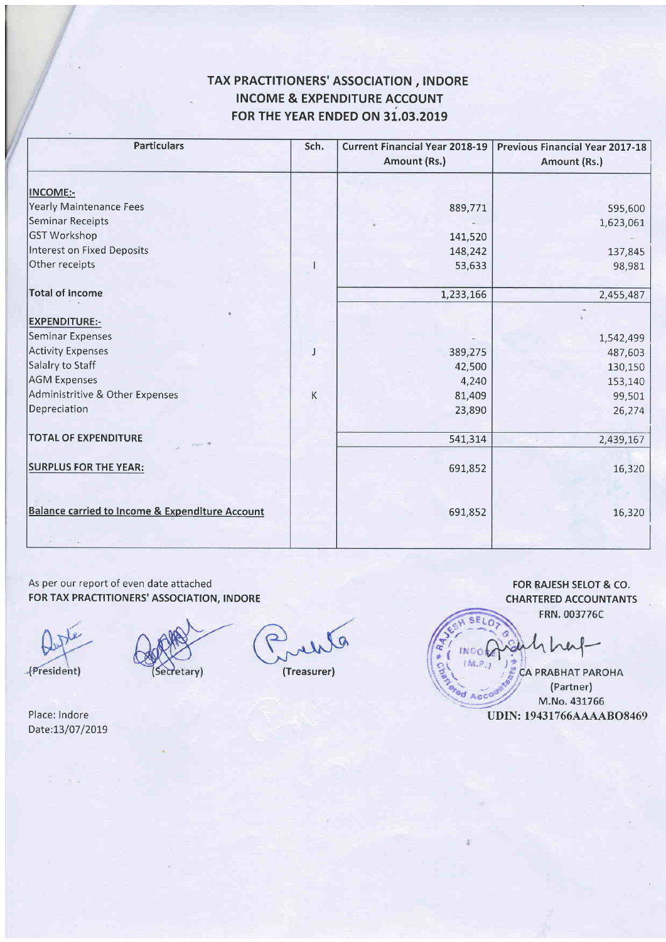## TAX PRACTITIONERS' ASSOCIATION, INDORE INCOME & EXPENDITURE ACCOUNT FOR THE YEAR ENDED ON 31.03.2019

| <b>Particulars</b>                                         | Sch. | <b>Current Financial Year 2018-19</b><br>Amount (Rs.) | Previous Financial Year 2017-18<br>Amount (Rs.) |
|------------------------------------------------------------|------|-------------------------------------------------------|-------------------------------------------------|
| <b>INCOME:-</b>                                            |      |                                                       |                                                 |
| Yearly Maintenance Fees                                    |      | 889,771                                               |                                                 |
| Seminar Receipts                                           |      |                                                       | 595,600                                         |
| GST Workshop                                               |      | 141,520                                               | 1,623,061                                       |
| <b>Interest on Fixed Deposits</b>                          |      |                                                       |                                                 |
| Other receipts                                             |      | 148,242                                               | 137,845                                         |
|                                                            |      | 53,633                                                | 98,981                                          |
| <b>Total of Income</b>                                     |      | 1,233,166                                             | 2,455,487                                       |
| <b>EXPENDITURE:-</b>                                       |      |                                                       |                                                 |
| Seminar Expenses                                           |      |                                                       | 1,542,499                                       |
| Activity Expenses                                          | J    | 389,275                                               | 487,603                                         |
| Salalry to Staff                                           |      | 42,500                                                | 130,150                                         |
| <b>AGM Expenses</b>                                        |      | 4,240                                                 | 153,140                                         |
| Administritive & Other Expenses                            | Κ    | 81,409                                                | 99,501                                          |
| Depreciation                                               |      | 23,890                                                | 26,274                                          |
| <b>TOTAL OF EXPENDITURE</b>                                |      | 541,314                                               | 2,439,167                                       |
|                                                            |      |                                                       |                                                 |
| <b>SURPLUS FOR THE YEAR:</b>                               |      | 691,852                                               | 16,320                                          |
|                                                            |      |                                                       |                                                 |
| <b>Balance carried to Income &amp; Expenditure Account</b> |      | 691,852                                               | 16,320                                          |
|                                                            |      |                                                       |                                                 |

As per our report of even date attached FOR TAX PRACTITIONERS' ASSOCIATION, INDORE

(President)

Secretary)

 $\circ$ 

(Treasurer)

FOR RAJESH SELOT & CO. CHARTERED ACCOUNTANTS FRN. 003776C

d Acco

CA PRABHAT PAROHA (Partner) M.No. 431766 UDIN: 19431766AAAABO8469

Place: lndore Date:13/07/2019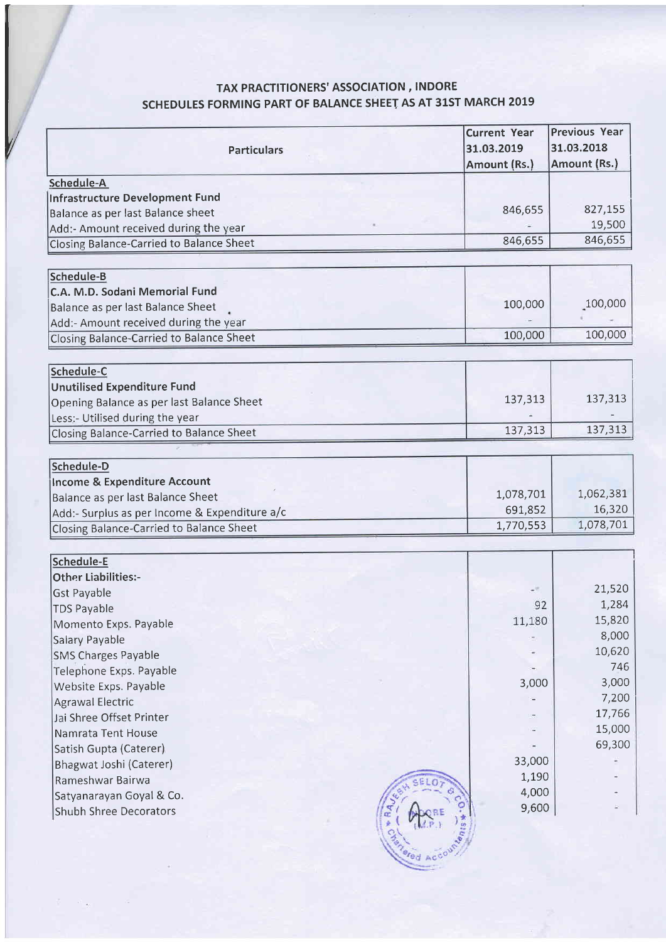# TAX PRACTITIONERS' ASSOCIATION, INDORE scHEDULES FORMING PART OF BALANCE SHEET AS AT 31ST MARCH 2019

|                                                 | <b>Current Year</b> | <b>Previous Year</b> |
|-------------------------------------------------|---------------------|----------------------|
| <b>Particulars</b>                              | 31.03.2019          | 31.03.2018           |
|                                                 | Amount (Rs.)        | Amount (Rs.)         |
| Schedule-A                                      |                     |                      |
| <b>Infrastructure Development Fund</b>          |                     |                      |
| Balance as per last Balance sheet               | 846,655             | 827,155              |
| Add:- Amount received during the year           |                     | 19,500               |
| <b>Closing Balance-Carried to Balance Sheet</b> | 846,655             | 846,655              |
|                                                 |                     |                      |
| Schedule-B                                      |                     |                      |
| C.A. M.D. Sodani Memorial Fund                  |                     |                      |
| Balance as per last Balance Sheet               | 100,000             | 100,000              |
| Add:- Amount received during the year           |                     |                      |
| Closing Balance-Carried to Balance Sheet        | 100,000             | 100,000              |
|                                                 |                     |                      |
| Schedule-C                                      |                     |                      |
| <b>Unutilised Expenditure Fund</b>              |                     |                      |
| Opening Balance as per last Balance Sheet       | 137,313             | 137,313              |
| Less:- Utilised during the year                 |                     |                      |
| Closing Balance-Carried to Balance Sheet        | 137,313             | 137,313              |
|                                                 |                     |                      |
| Schedule-D                                      |                     |                      |
| <b>Income &amp; Expenditure Account</b>         |                     |                      |
| Balance as per last Balance Sheet               | 1,078,701           | 1,062,381            |
| Add:- Surplus as per Income & Expenditure a/c   | 691,852             | 16,320               |
| Closing Balance-Carried to Balance Sheet        | 1,770,553           | 1,078,701            |
|                                                 |                     |                      |
| <b>Schedule-E</b>                               |                     |                      |
| <b>Other Liabilities:-</b>                      |                     |                      |
| <b>Gst Payable</b>                              | -9                  | 21,520               |
| <b>TDS Payable</b>                              | 92                  | 1,284                |
| Momento Exps. Payable                           | 11,180              | 15,820               |
| Salary Payable                                  |                     | 8,000                |
| <b>SMS Charges Payable</b>                      |                     | 10,620               |
| Telephone Exps. Payable                         |                     | 746                  |
| Website Exps. Payable                           | 3,000               | 3,000                |
| <b>Agrawal Electric</b>                         |                     | 7,200                |
| Jai Shree Offset Printer                        |                     | 17,766               |
| Namrata Tent House                              |                     | 15,000               |
| Satish Gupta (Caterer)                          |                     | 69,300               |
| Bhagwat Joshi (Caterer)                         | 33,000              |                      |
| Rameshwar Bairwa                                | 1,190               |                      |
| Satyanarayan Goyal & Co.                        | 4,000               |                      |
| Shubh Shree Decorators                          | 9,600               |                      |
|                                                 |                     |                      |
|                                                 |                     |                      |
|                                                 |                     |                      |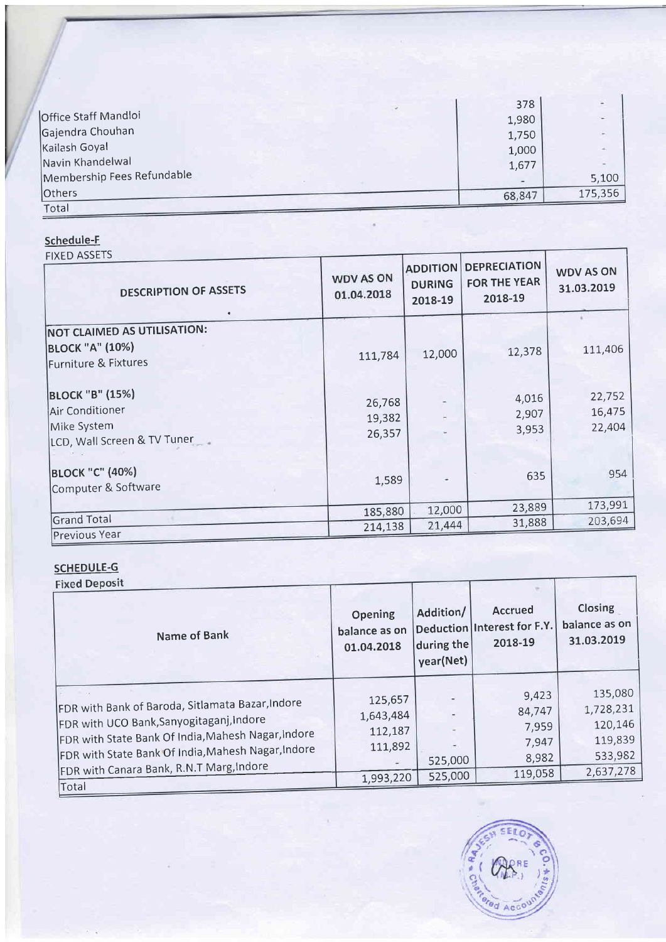|                            | 378    |         |
|----------------------------|--------|---------|
| Office Staff Mandloi       | 1,980  | $\sim$  |
| Gajendra Chouhan           | 1,750  | ÷       |
| Kailash Goyal              | 1,000  |         |
| Navin Khandelwal           | 1,677  |         |
| Membership Fees Refundable |        | 5,100   |
| <b>Others</b>              | 68,847 | 175,356 |
| Total                      |        |         |

## Schedule-F

| <b>FIXED ASSETS</b><br><b>DESCRIPTION OF ASSETS</b>                                     | <b>WDV AS ON</b><br>01.04.2018 | <b>ADDITION</b><br><b>DURING</b><br>2018-19 | <b>DEPRECIATION</b><br><b>FOR THE YEAR</b><br>2018-19 | <b>WDV AS ON</b><br>31.03.2019 |
|-----------------------------------------------------------------------------------------|--------------------------------|---------------------------------------------|-------------------------------------------------------|--------------------------------|
| <b>NOT CLAIMED AS UTILISATION:</b><br><b>BLOCK "A" (10%)</b><br>Furniture & Fixtures    | 111,784                        | 12,000                                      | 12,378                                                | 111,406                        |
| <b>BLOCK "B" (15%)</b><br>Air Conditioner<br>Mike System<br>LCD, Wall Screen & TV Tuner | 26,768<br>19,382<br>26,357     |                                             | 4,016<br>2,907<br>3,953                               | 22,752<br>16,475<br>22,404     |
| <b>BLOCK "C" (40%)</b><br>Computer & Software                                           | 1,589                          |                                             | 635                                                   | 954                            |
|                                                                                         | 185,880                        | 12,000                                      | 23,889                                                | 173,991                        |
| <b>Grand Total</b><br>Previous Year                                                     | 214,138                        | 21,444                                      | 31,888                                                | 203,694                        |

# **SCHEDULE-G**<br>Fixed Deposit

| <b>FIXED DEPOSIT</b><br>Name of Bank                                                                                                                                                                                                                 | Opening<br>balance as on<br>01.04.2018     | Addition/<br>during the<br>year(Net) | Accrued<br>Deduction Interest for F.Y.<br>2018-19 | Closing<br>balance as on<br>31.03.2019                |
|------------------------------------------------------------------------------------------------------------------------------------------------------------------------------------------------------------------------------------------------------|--------------------------------------------|--------------------------------------|---------------------------------------------------|-------------------------------------------------------|
| FDR with Bank of Baroda, Sitlamata Bazar, Indore<br>FDR with UCO Bank, Sanyogitaganj, Indore<br>FDR with State Bank Of India, Mahesh Nagar, Indore<br>FDR with State Bank Of India, Mahesh Nagar, Indore<br>FDR with Canara Bank, R.N.T Marg, Indore | 125,657<br>1,643,484<br>112,187<br>111,892 | 525,000                              | 9,423<br>84,747<br>7,959<br>7,947<br>8,982        | 135,080<br>1,728,231<br>120,146<br>119,839<br>533,982 |
| Total                                                                                                                                                                                                                                                | 1,993,220                                  | 525,000                              | 119,058                                           | 2,637,278                                             |

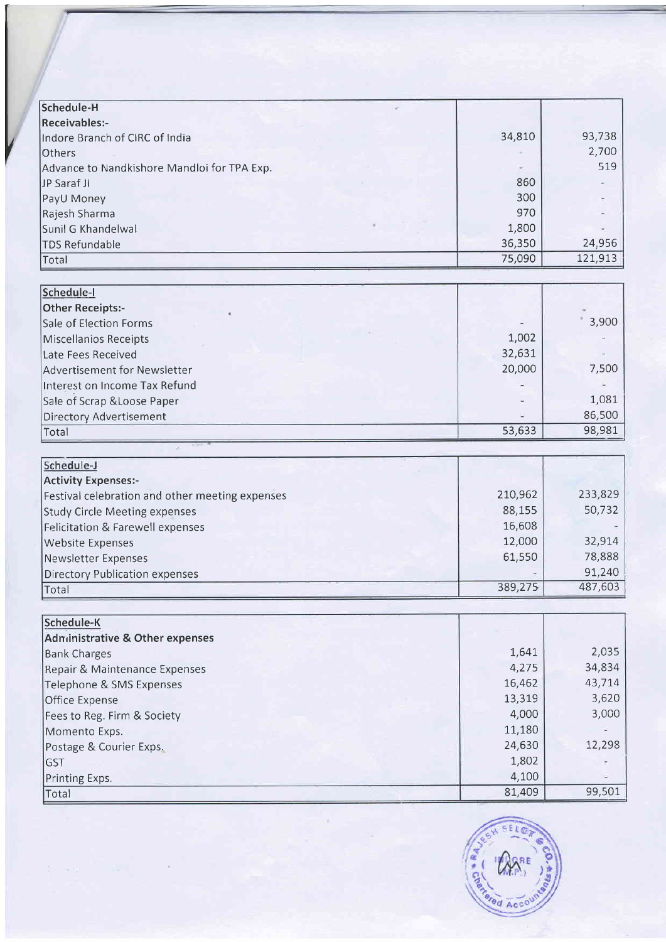| Schedule-H                                      |         |         |
|-------------------------------------------------|---------|---------|
| Receivables:-                                   |         |         |
| Indore Branch of CIRC of India                  | 34,810  | 93,738  |
| Others                                          |         | 2,700   |
| Advance to Nandkishore Mandloi for TPA Exp.     |         | 519     |
| JP Saraf JI                                     | 860     |         |
| PayU Money                                      | 300     |         |
| Rajesh Sharma                                   | 970     |         |
| Sunil G Khandelwal                              | 1,800   |         |
| <b>TDS Refundable</b>                           | 36,350  | 24,956  |
| Total                                           | 75,090  | 121,913 |
|                                                 |         |         |
| Schedule-I                                      |         |         |
| <b>Other Receipts:-</b>                         |         |         |
| Sale of Election Forms                          |         | 3,900   |
| <b>Miscellanios Receipts</b>                    | 1,002   |         |
| Late Fees Received                              | 32,631  |         |
| Advertisement for Newsletter                    | 20,000  | 7,500   |
| Interest on Income Tax Refund                   |         |         |
| Sale of Scrap & Loose Paper                     |         | 1,081   |
| <b>Directory Advertisement</b>                  |         | 86,500  |
| Total                                           | 53,633  | 98,981  |
|                                                 |         |         |
| Schedule-J                                      |         |         |
| <b>Activity Expenses:-</b>                      |         |         |
| Festival celebration and other meeting expenses | 210,962 | 233,829 |
| <b>Study Circle Meeting expenses</b>            | 88,155  | 50,732  |
| <b>Felicitation &amp; Farewell expenses</b>     | 16,608  |         |
| <b>Website Expenses</b>                         | 12,000  | 32,914  |
| <b>Newsletter Expenses</b>                      | 61,550  | 78,888  |
| <b>Directory Publication expenses</b>           |         | 91,240  |
| Total                                           | 389,275 | 487,603 |
|                                                 |         |         |
| Schedule-K                                      |         |         |
| <b>Administrative &amp; Other expenses</b>      |         |         |
| <b>Bank Charges</b>                             | 1,641   | 2,035   |
| Repair & Maintenance Expenses                   | 4,275   | 34,834  |
| Telephone & SMS Expenses                        | 16,462  | 43,714  |
| <b>Office Expense</b>                           | 13,319  | 3,620   |
| Fees to Reg. Firm & Society                     | 4,000   | 3,000   |
| Momento Exps.                                   | 11,180  |         |
| Postage & Courier Exps.                         | 24,630  | 12,298  |
| <b>GST</b>                                      | 1,802   |         |
| Printing Exps.                                  | 4,100   |         |
| Total                                           | 81,409  | 99,501  |